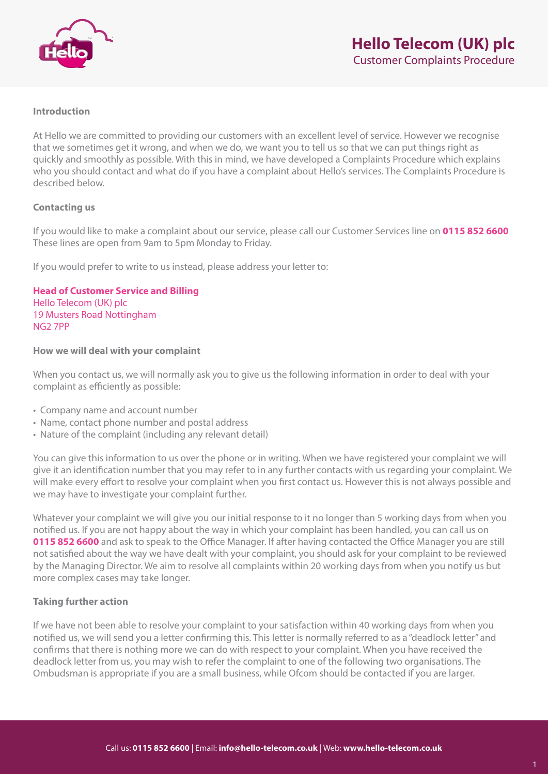

## **Introduction**

At Hello we are committed to providing our customers with an excellent level of service. However we recognise that we sometimes get it wrong, and when we do, we want you to tell us so that we can put things right as quickly and smoothly as possible. With this in mind, we have developed a Complaints Procedure which explains who you should contact and what do if you have a complaint about Hello's services. The Complaints Procedure is described below.

## **Contacting us**

If you would like to make a complaint about our service, please call our Customer Services line on **0115 852 6600** These lines are open from 9am to 5pm Monday to Friday.

If you would prefer to write to us instead, please address your letter to:

**Head of Customer Service and Billing**  Hello Telecom (UK) plc 19 Musters Road Nottingham NG2 7PP

## **How we will deal with your complaint**

When you contact us, we will normally ask you to give us the following information in order to deal with your complaint as efficiently as possible:

- Company name and account number
- Name, contact phone number and postal address
- Nature of the complaint (including any relevant detail)

You can give this information to us over the phone or in writing. When we have registered your complaint we will give it an identification number that you may refer to in any further contacts with us regarding your complaint. We will make every effort to resolve your complaint when you first contact us. However this is not always possible and we may have to investigate your complaint further.

Whatever your complaint we will give you our initial response to it no longer than 5 working days from when you notified us. If you are not happy about the way in which your complaint has been handled, you can call us on **0115 852 6600** and ask to speak to the Office Manager. If after having contacted the Office Manager you are still not satisfied about the way we have dealt with your complaint, you should ask for your complaint to be reviewed by the Managing Director. We aim to resolve all complaints within 20 working days from when you notify us but more complex cases may take longer.

# **Taking further action**

If we have not been able to resolve your complaint to your satisfaction within 40 working days from when you notified us, we will send you a letter confirming this. This letter is normally referred to as a "deadlock letter" and confirms that there is nothing more we can do with respect to your complaint. When you have received the deadlock letter from us, you may wish to refer the complaint to one of the following two organisations. The Ombudsman is appropriate if you are a small business, while Ofcom should be contacted if you are larger.